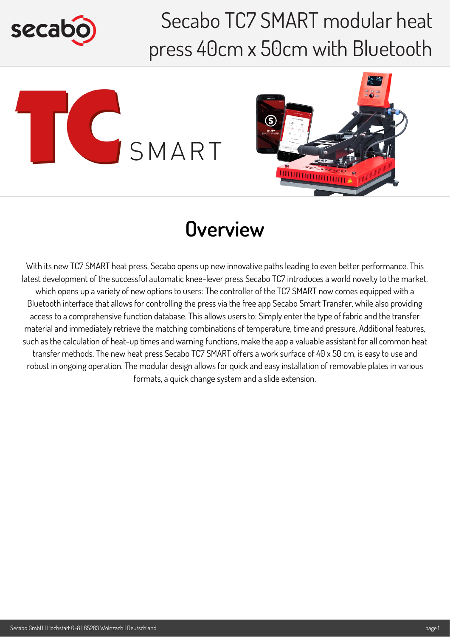





## **Overview**

With its new TC7 SMART heat press, Secabo opens up new innovative paths leading to even better performance. This latest development of the successful automatic knee-lever press Secabo TC7 introduces a world novelty to the market, which opens up a variety of new options to users: The controller of the TC7 SMART now comes equipped with a Bluetooth interface that allows for controlling the press via the free app Secabo Smart Transfer, while also providing access to a comprehensive function database. This allows users to: Simply enter the type of fabric and the transfer material and immediately retrieve the matching combinations of temperature, time and pressure. Additional features, such as the calculation of heat-up times and warning functions, make the app a valuable assistant for all common heat transfer methods. The new heat press Secabo TC7 SMART offers a work surface of 40 x 50 cm, is easy to use and robust in ongoing operation. The modular design allows for quick and easy installation of removable plates in various formats, a quick change system and a slide extension.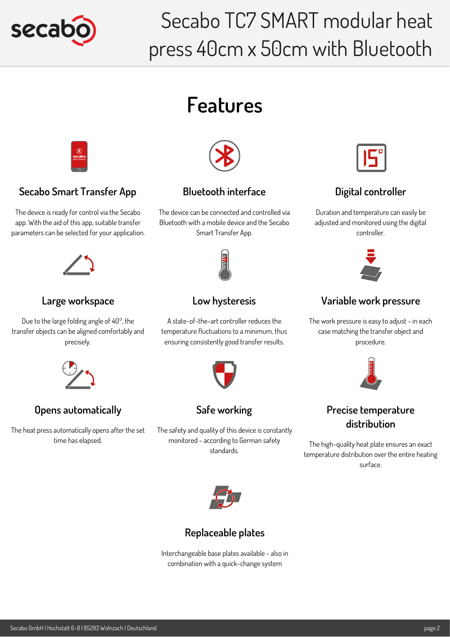

## **Features**



### **Secabo Smart Transfer App**

The device is ready for control via the Secabo app. With the aid of this app, suitable transfer parameters can be selected for your application.

**Large workspace**

Due to the large folding angle of 40°, the transfer objects can be aligned comfortably and precisely.

**Opens automatically**

The heat press automatically opens after the set time has elapsed.



#### **Bluetooth interface**

The device can be connected and controlled via Bluetooth with a mobile device and the Secabo Smart Transfer App.



### **Low hysteresis**

A state-of-the-art controller reduces the temperature fluctuations to a minimum, thus ensuring consistently good transfer results.



#### **Safe working**

The safety and quality of this device is constantly monitored - according to German safety standards.



#### **Replaceable plates**

Interchangeable base plates available - also in combination with a quick-change system



## **Digital controller**

Duration and temperature can easily be adjusted and monitored using the digital controller.



### **Variable work pressure**

The work pressure is easy to adjust - in each case matching the transfer object and procedure.



#### **Precise temperature distribution**

The high-quality heat plate ensures an exact temperature distribution over the entire heating surface.

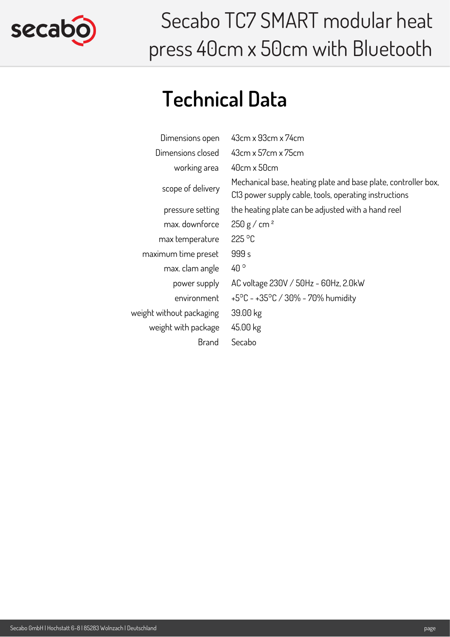

## **Technical Data**

| Dimensions open          | 43cm x 93cm x 74cm                                                                                                      |
|--------------------------|-------------------------------------------------------------------------------------------------------------------------|
| Dimensions closed        | 43cm x 57cm x 75cm                                                                                                      |
| working area             | 40cm x 50cm                                                                                                             |
| scope of delivery        | Mechanical base, heating plate and base plate, controller box,<br>C13 power supply cable, tools, operating instructions |
| pressure setting         | the heating plate can be adjusted with a hand reel                                                                      |
| max. downforce           | 250 g/cm <sup>2</sup>                                                                                                   |
| max temperature          | 225°C                                                                                                                   |
| maximum time preset      | 999s                                                                                                                    |
| max. clam angle          | $40^{\circ}$                                                                                                            |
| power supply             | AC voltage 230V / 50Hz - 60Hz, 2.0kW                                                                                    |
| environment              | $+5^{\circ}$ C – $+35^{\circ}$ C / 30% – 70% humidity                                                                   |
| weight without packaging | 39.00 kg                                                                                                                |
| weight with package      | 45.00 kg                                                                                                                |
| <b>Brand</b>             | Secabo                                                                                                                  |
|                          |                                                                                                                         |